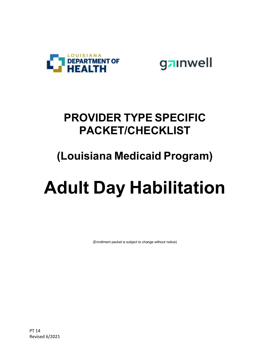

gainwell

### **PROVIDER TYPE SPECIFIC PACKET/CHECKLIST**

## **(Louisiana Medicaid Program)**

# **Adult Day Habilitation**

(Enrollment packet is subject to change without notice)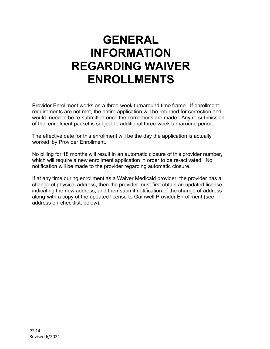## **GENERAL INFORMATION REGARDING WAIVER ENROLLMENTS**

Provider Enrollment works on a three-week turnaround time frame. If enrollment requirements are not met, the entire application will be returned for correction and would need to be re-submitted once the corrections are made. Any re-submission of the enrollment packet is subject to additional three-week turnaround period.

The effective date for this enrollment will be the day the application is actually worked by Provider Enrollment.

No billing for 18 months will result in an automatic closure of this provider number, which will require a new enrollment application in order to be re-activated. No notification will be made to the provider regarding automatic closure.

If at any time during enrollment as a Waiver Medicaid provider, the provider has a change of physical address, then the provider must first obtain an updated license indicating the new address, and then submit notification of the change of address along with a copy of the updated license to Gainwell Provider Enrollment (see address on checklist, below).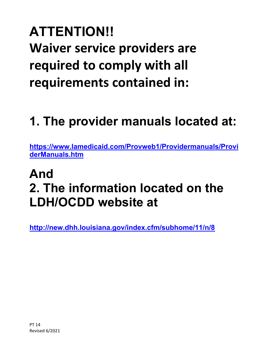# **ATTENTION!! Waiver service providers are required to comply with all requirements contained in:**

# **1. The provider manuals located at:**

**[https://www.lamedicaid.com/Provweb1/Providermanuals/Provi](https://www.lamedicaid.com/Provweb1/Providermanuals/ProviderManuals.htm) [derManuals.htm](https://www.lamedicaid.com/Provweb1/Providermanuals/ProviderManuals.htm)**

# **And 2. The information located on the LDH/OCDD website at**

**<http://new.dhh.louisiana.gov/index.cfm/subhome/11/n/8>**